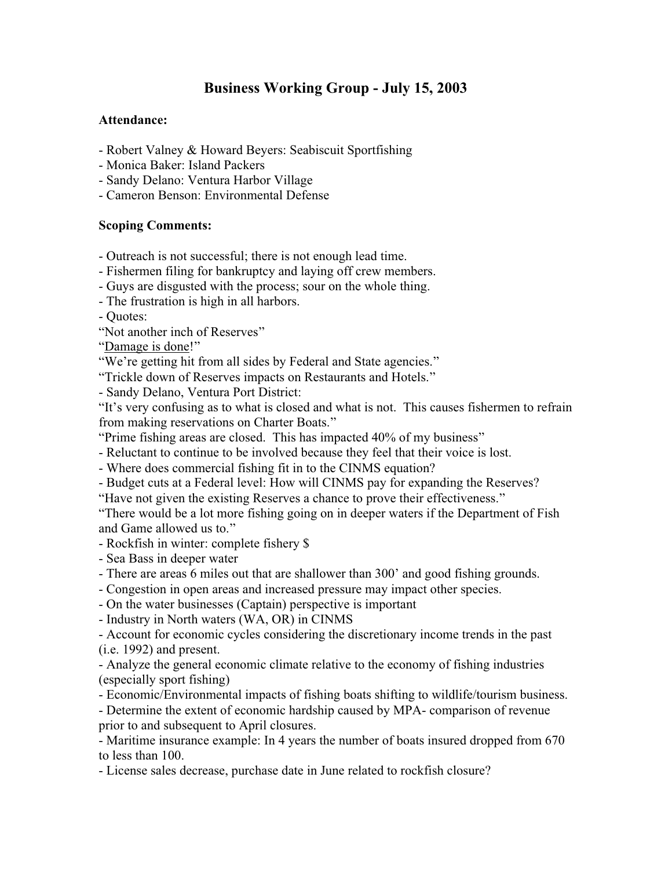## **Business Working Group - July 15, 2003**

## **Attendance:**

- Robert Valney & Howard Beyers: Seabiscuit Sportfishing
- Monica Baker: Island Packers
- Sandy Delano: Ventura Harbor Village
- Cameron Benson: Environmental Defense

## **Scoping Comments:**

- Outreach is not successful; there is not enough lead time.
- Fishermen filing for bankruptcy and laying off crew members.
- Guys are disgusted with the process; sour on the whole thing.
- The frustration is high in all harbors.

- Quotes:

"Not another inch of Reserves"

"Damage is done!"

- "We're getting hit from all sides by Federal and State agencies."
- "Trickle down of Reserves impacts on Restaurants and Hotels."
- Sandy Delano, Ventura Port District:

"It's very confusing as to what is closed and what is not. This causes fishermen to refrain from making reservations on Charter Boats."

"Prime fishing areas are closed. This has impacted 40% of my business"

- Reluctant to continue to be involved because they feel that their voice is lost.
- Where does commercial fishing fit in to the CINMS equation?
- Budget cuts at a Federal level: How will CINMS pay for expanding the Reserves?
- "Have not given the existing Reserves a chance to prove their effectiveness."

"There would be a lot more fishing going on in deeper waters if the Department of Fish and Game allowed us to."

- Rockfish in winter: complete fishery \$
- Sea Bass in deeper water
- There are areas 6 miles out that are shallower than 300' and good fishing grounds.
- Congestion in open areas and increased pressure may impact other species.
- On the water businesses (Captain) perspective is important
- Industry in North waters (WA, OR) in CINMS
- Account for economic cycles considering the discretionary income trends in the past (i.e. 1992) and present.
- Analyze the general economic climate relative to the economy of fishing industries (especially sport fishing)
- Economic/Environmental impacts of fishing boats shifting to wildlife/tourism business.
- Determine the extent of economic hardship caused by MPA- comparison of revenue prior to and subsequent to April closures.
- Maritime insurance example: In 4 years the number of boats insured dropped from 670 to less than 100.
- License sales decrease, purchase date in June related to rockfish closure?